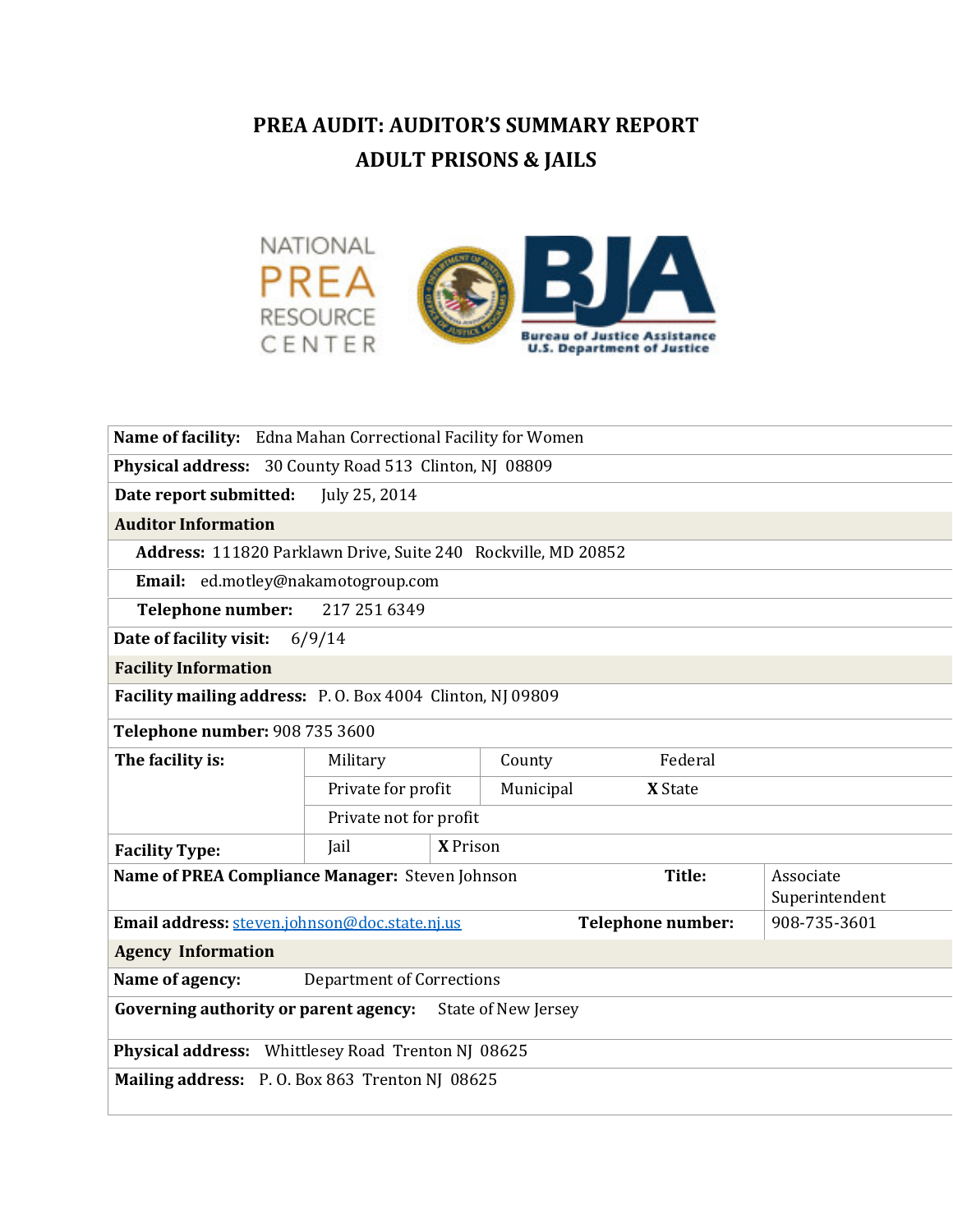# PREA AUDIT: AUDITOR'S SUMMARY REPORT ADULT PRISONS & JAILS



| Name of facility: Edna Mahan Correctional Facility for Women        |                                  |           |                          |                |  |  |
|---------------------------------------------------------------------|----------------------------------|-----------|--------------------------|----------------|--|--|
| Physical address: 30 County Road 513 Clinton, NJ 08809              |                                  |           |                          |                |  |  |
| Date report submitted:                                              | July 25, 2014                    |           |                          |                |  |  |
| <b>Auditor Information</b>                                          |                                  |           |                          |                |  |  |
| Address: 111820 Parklawn Drive, Suite 240 Rockville, MD 20852       |                                  |           |                          |                |  |  |
| Email: ed.motley@nakamotogroup.com                                  |                                  |           |                          |                |  |  |
| Telephone number:<br>217 251 6349                                   |                                  |           |                          |                |  |  |
| Date of facility visit:<br>6/9/14                                   |                                  |           |                          |                |  |  |
| <b>Facility Information</b>                                         |                                  |           |                          |                |  |  |
| Facility mailing address: P.O. Box 4004 Clinton, NJ 09809           |                                  |           |                          |                |  |  |
| Telephone number: 908 735 3600                                      |                                  |           |                          |                |  |  |
| The facility is:                                                    | Military                         | County    | Federal                  |                |  |  |
|                                                                     | Private for profit               | Municipal | <b>X</b> State           |                |  |  |
|                                                                     | Private not for profit           |           |                          |                |  |  |
| <b>Facility Type:</b>                                               | <b>X</b> Prison<br>Jail          |           |                          |                |  |  |
| Name of PREA Compliance Manager: Steven Johnson<br>Title:           |                                  |           | Associate                |                |  |  |
|                                                                     |                                  |           |                          | Superintendent |  |  |
| Email address: steven.johnson@doc.state.nj.us                       |                                  |           | <b>Telephone number:</b> | 908-735-3601   |  |  |
| <b>Agency Information</b>                                           |                                  |           |                          |                |  |  |
| Name of agency:                                                     | <b>Department of Corrections</b> |           |                          |                |  |  |
| Governing authority or parent agency:<br><b>State of New Jersey</b> |                                  |           |                          |                |  |  |
| Physical address: Whittlesey Road Trenton NJ 08625                  |                                  |           |                          |                |  |  |
| Mailing address: P.O. Box 863 Trenton NJ 08625                      |                                  |           |                          |                |  |  |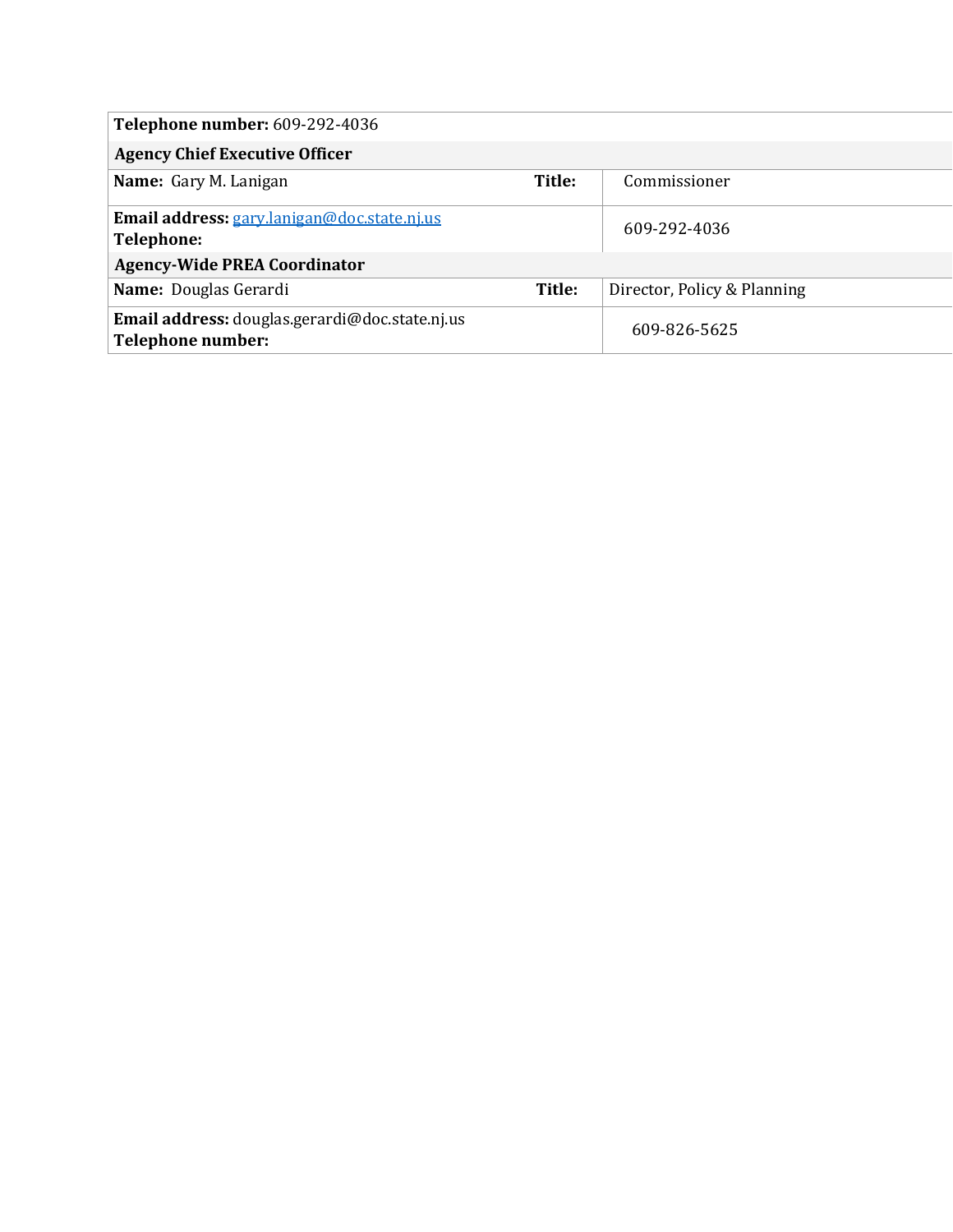| <b>Telephone number: 609-292-4036</b>                               |        |                             |
|---------------------------------------------------------------------|--------|-----------------------------|
| <b>Agency Chief Executive Officer</b>                               |        |                             |
| Name: Gary M. Lanigan                                               | Title: | Commissioner                |
| Email address: gary.lanigan@doc.state.nj.us<br><b>Telephone:</b>    |        | 609-292-4036                |
| <b>Agency-Wide PREA Coordinator</b>                                 |        |                             |
| Name: Douglas Gerardi                                               | Title: | Director, Policy & Planning |
| Email address: douglas.gerardi@doc.state.nj.us<br>Telephone number: |        | 609-826-5625                |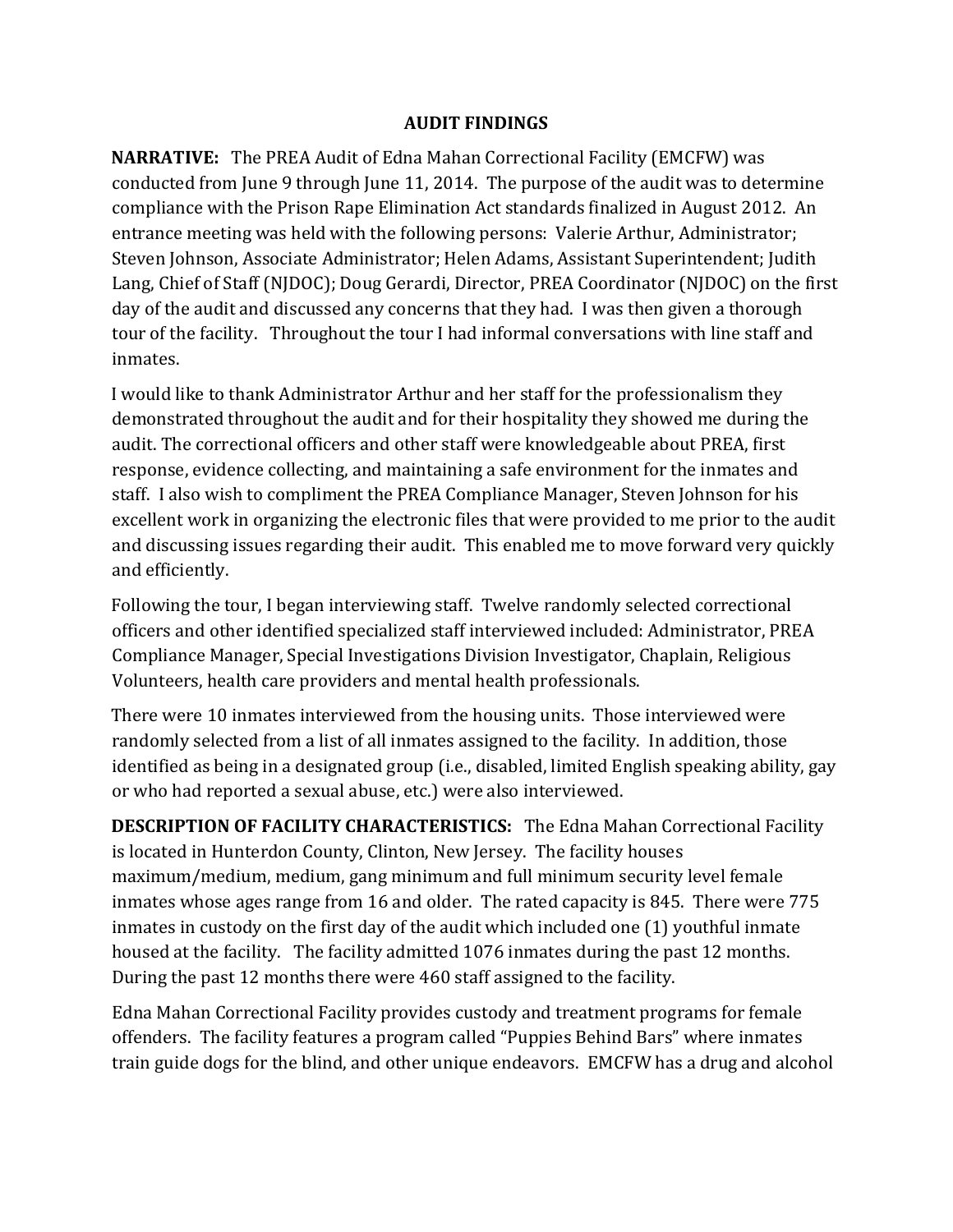#### AUDIT FINDINGS

NARRATIVE: The PREA Audit of Edna Mahan Correctional Facility (EMCFW) was conducted from June 9 through June 11, 2014. The purpose of the audit was to determine compliance with the Prison Rape Elimination Act standards finalized in August 2012. An entrance meeting was held with the following persons: Valerie Arthur, Administrator; Steven Johnson, Associate Administrator; Helen Adams, Assistant Superintendent; Judith Lang, Chief of Staff (NJDOC); Doug Gerardi, Director, PREA Coordinator (NJDOC) on the first day of the audit and discussed any concerns that they had. I was then given a thorough tour of the facility. Throughout the tour I had informal conversations with line staff and inmates.

I would like to thank Administrator Arthur and her staff for the professionalism they demonstrated throughout the audit and for their hospitality they showed me during the audit. The correctional officers and other staff were knowledgeable about PREA, first response, evidence collecting, and maintaining a safe environment for the inmates and staff. I also wish to compliment the PREA Compliance Manager, Steven Johnson for his excellent work in organizing the electronic files that were provided to me prior to the audit and discussing issues regarding their audit. This enabled me to move forward very quickly and efficiently.

Following the tour, I began interviewing staff. Twelve randomly selected correctional officers and other identified specialized staff interviewed included: Administrator, PREA Compliance Manager, Special Investigations Division Investigator, Chaplain, Religious Volunteers, health care providers and mental health professionals.

There were 10 inmates interviewed from the housing units. Those interviewed were randomly selected from a list of all inmates assigned to the facility. In addition, those identified as being in a designated group (i.e., disabled, limited English speaking ability, gay or who had reported a sexual abuse, etc.) were also interviewed.

DESCRIPTION OF FACILITY CHARACTERISTICS: The Edna Mahan Correctional Facility is located in Hunterdon County, Clinton, New Jersey. The facility houses maximum/medium, medium, gang minimum and full minimum security level female inmates whose ages range from 16 and older. The rated capacity is 845. There were 775 inmates in custody on the first day of the audit which included one (1) youthful inmate housed at the facility. The facility admitted 1076 inmates during the past 12 months. During the past 12 months there were 460 staff assigned to the facility.

Edna Mahan Correctional Facility provides custody and treatment programs for female offenders. The facility features a program called "Puppies Behind Bars" where inmates train guide dogs for the blind, and other unique endeavors. EMCFW has a drug and alcohol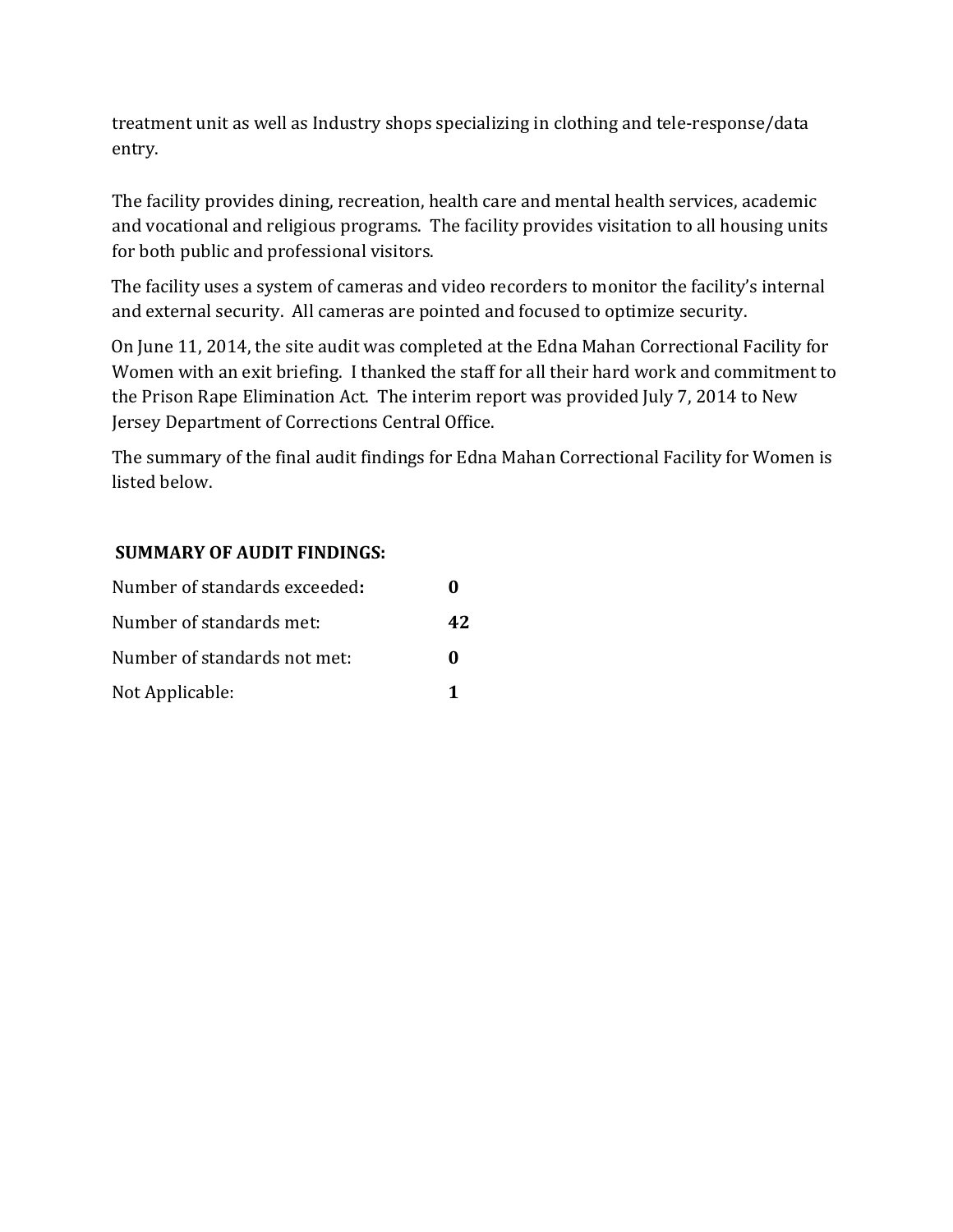treatment unit as well as Industry shops specializing in clothing and tele-response/data entry.

The facility provides dining, recreation, health care and mental health services, academic and vocational and religious programs. The facility provides visitation to all housing units for both public and professional visitors.

The facility uses a system of cameras and video recorders to monitor the facility's internal and external security. All cameras are pointed and focused to optimize security.

On June 11, 2014, the site audit was completed at the Edna Mahan Correctional Facility for Women with an exit briefing. I thanked the staff for all their hard work and commitment to the Prison Rape Elimination Act. The interim report was provided July 7, 2014 to New Jersey Department of Corrections Central Office.

The summary of the final audit findings for Edna Mahan Correctional Facility for Women is listed below.

#### SUMMARY OF AUDIT FINDINGS:

| Number of standards exceeded: |              |
|-------------------------------|--------------|
| Number of standards met:      | 42           |
| Number of standards not met:  | $\mathbf{0}$ |
| Not Applicable:               |              |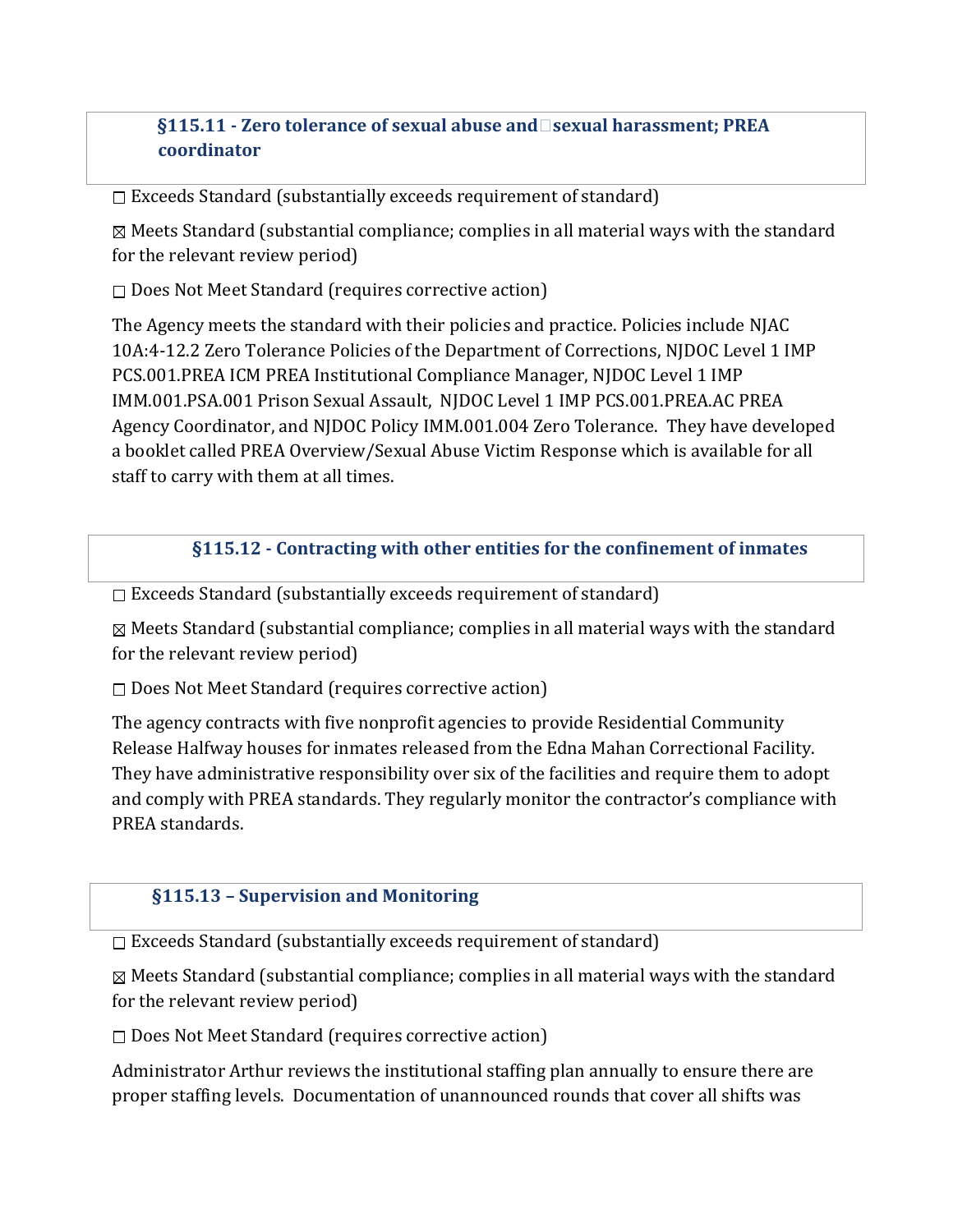## §115.11 - Zero tolerance of sexual abuse andsexual harassment; PREA coordinator

 $\Box$  Exceeds Standard (substantially exceeds requirement of standard)

 $\boxtimes$  Meets Standard (substantial compliance; complies in all material ways with the standard for the relevant review period)

 $\square$  Does Not Meet Standard (requires corrective action)

The Agency meets the standard with their policies and practice. Policies include NJAC 10A:4-12.2 Zero Tolerance Policies of the Department of Corrections, NJDOC Level 1 IMP PCS.001.PREA ICM PREA Institutional Compliance Manager, NJDOC Level 1 IMP IMM.001.PSA.001 Prison Sexual Assault, NJDOC Level 1 IMP PCS.001.PREA.AC PREA Agency Coordinator, and NJDOC Policy IMM.001.004 Zero Tolerance. They have developed a booklet called PREA Overview/Sexual Abuse Victim Response which is available for all staff to carry with them at all times.

## §115.12 - Contracting with other entities for the confinement of inmates

 $\Box$  Exceeds Standard (substantially exceeds requirement of standard)

 $\boxtimes$  Meets Standard (substantial compliance; complies in all material ways with the standard for the relevant review period)

 $\square$  Does Not Meet Standard (requires corrective action)

The agency contracts with five nonprofit agencies to provide Residential Community Release Halfway houses for inmates released from the Edna Mahan Correctional Facility. They have administrative responsibility over six of the facilities and require them to adopt and comply with PREA standards. They regularly monitor the contractor's compliance with PREA standards.

#### §115.13 – Supervision and Monitoring

 $\Box$  Exceeds Standard (substantially exceeds requirement of standard)

 $\boxtimes$  Meets Standard (substantial compliance; complies in all material ways with the standard for the relevant review period)

 $\square$  Does Not Meet Standard (requires corrective action)

Administrator Arthur reviews the institutional staffing plan annually to ensure there are proper staffing levels. Documentation of unannounced rounds that cover all shifts was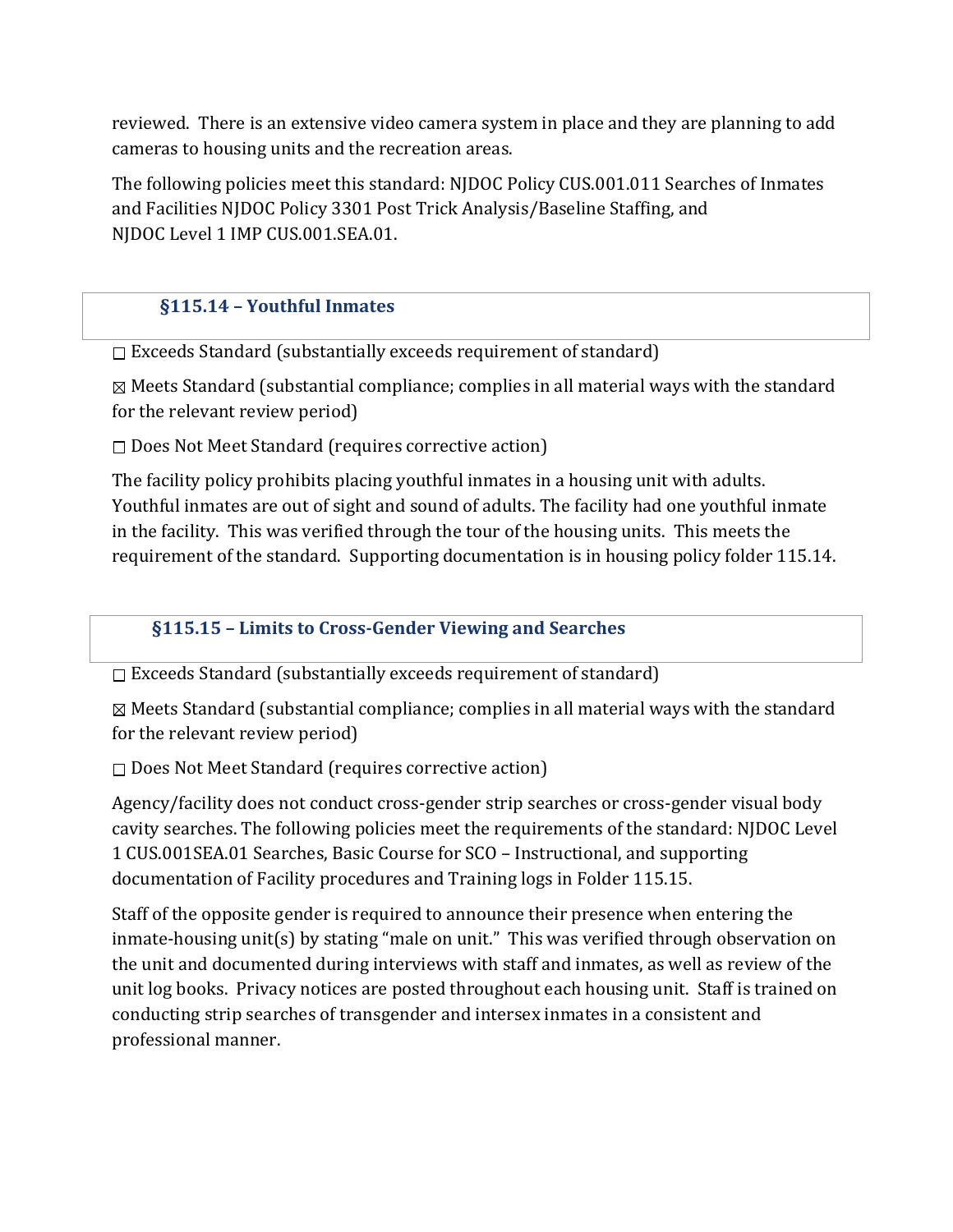reviewed. There is an extensive video camera system in place and they are planning to add cameras to housing units and the recreation areas.

The following policies meet this standard: NJDOC Policy CUS.001.011 Searches of Inmates and Facilities NJDOC Policy 3301 Post Trick Analysis/Baseline Staffing, and NJDOC Level 1 IMP CUS.001.SEA.01.

# §115.14 – Youthful Inmates

 $\Box$  Exceeds Standard (substantially exceeds requirement of standard)

 $\boxtimes$  Meets Standard (substantial compliance; complies in all material ways with the standard for the relevant review period)

 $\Box$  Does Not Meet Standard (requires corrective action)

The facility policy prohibits placing youthful inmates in a housing unit with adults. Youthful inmates are out of sight and sound of adults. The facility had one youthful inmate in the facility. This was verified through the tour of the housing units. This meets the requirement of the standard. Supporting documentation is in housing policy folder 115.14.

#### §115.15 – Limits to Cross-Gender Viewing and Searches

 $\Box$  Exceeds Standard (substantially exceeds requirement of standard)

 $\boxtimes$  Meets Standard (substantial compliance; complies in all material ways with the standard for the relevant review period)

 $\square$  Does Not Meet Standard (requires corrective action)

Agency/facility does not conduct cross-gender strip searches or cross-gender visual body cavity searches. The following policies meet the requirements of the standard: NJDOC Level 1 CUS.001SEA.01 Searches, Basic Course for SCO – Instructional, and supporting documentation of Facility procedures and Training logs in Folder 115.15.

Staff of the opposite gender is required to announce their presence when entering the inmate-housing unit(s) by stating "male on unit." This was verified through observation on the unit and documented during interviews with staff and inmates, as well as review of the unit log books. Privacy notices are posted throughout each housing unit. Staff is trained on conducting strip searches of transgender and intersex inmates in a consistent and professional manner.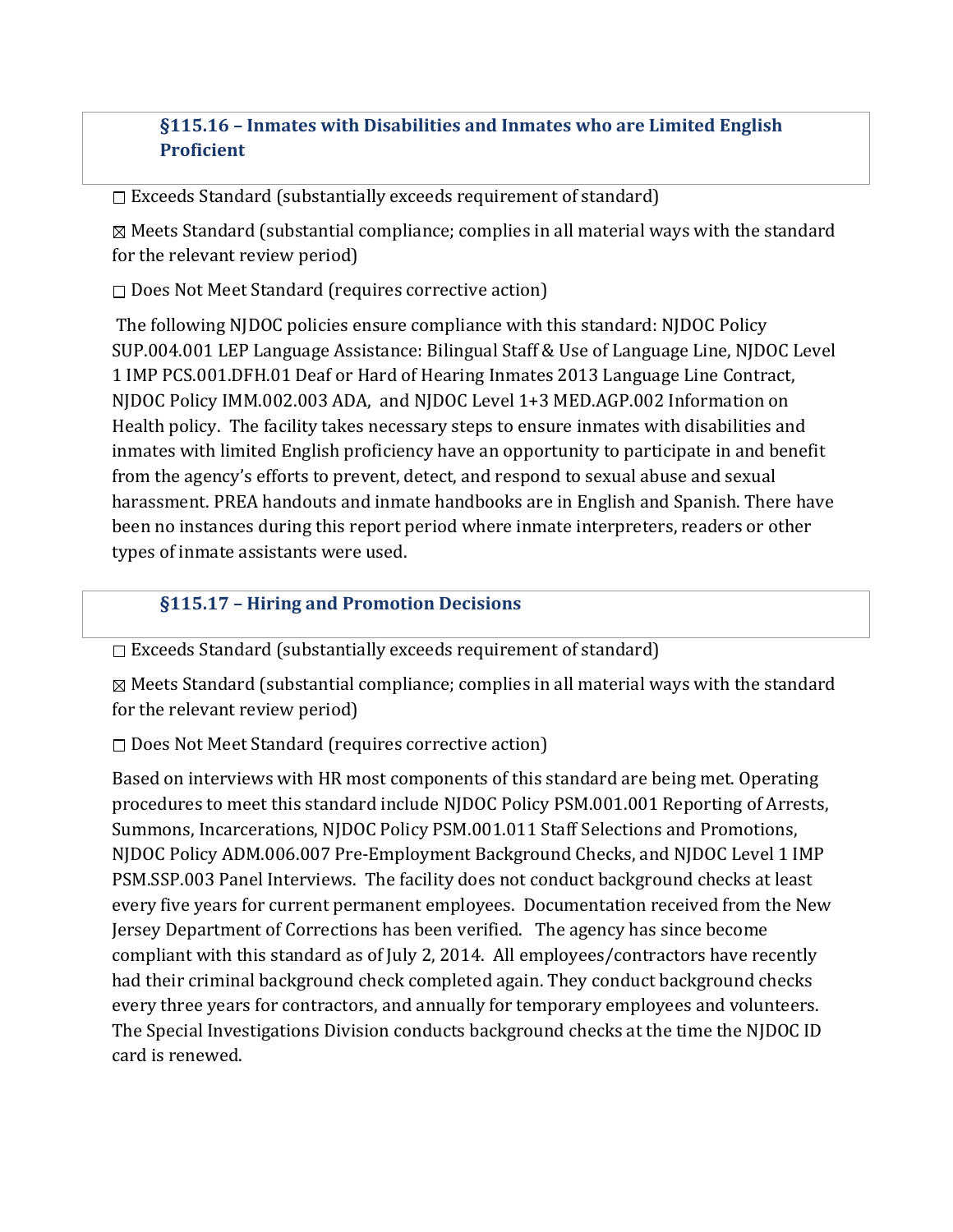# §115.16 – Inmates with Disabilities and Inmates who are Limited English **Proficient**

 $\Box$  Exceeds Standard (substantially exceeds requirement of standard)

 $\boxtimes$  Meets Standard (substantial compliance; complies in all material ways with the standard for the relevant review period)

 $\square$  Does Not Meet Standard (requires corrective action)

 The following NJDOC policies ensure compliance with this standard: NJDOC Policy SUP.004.001 LEP Language Assistance: Bilingual Staff & Use of Language Line, NJDOC Level 1 IMP PCS.001.DFH.01 Deaf or Hard of Hearing Inmates 2013 Language Line Contract, NJDOC Policy IMM.002.003 ADA, and NJDOC Level 1+3 MED.AGP.002 Information on Health policy. The facility takes necessary steps to ensure inmates with disabilities and inmates with limited English proficiency have an opportunity to participate in and benefit from the agency's efforts to prevent, detect, and respond to sexual abuse and sexual harassment. PREA handouts and inmate handbooks are in English and Spanish. There have been no instances during this report period where inmate interpreters, readers or other types of inmate assistants were used.

## §115.17 – Hiring and Promotion Decisions

 $\square$  Exceeds Standard (substantially exceeds requirement of standard)

 $\boxtimes$  Meets Standard (substantial compliance; complies in all material ways with the standard for the relevant review period)

 $\square$  Does Not Meet Standard (requires corrective action)

Based on interviews with HR most components of this standard are being met. Operating procedures to meet this standard include NJDOC Policy PSM.001.001 Reporting of Arrests, Summons, Incarcerations, NJDOC Policy PSM.001.011 Staff Selections and Promotions, NJDOC Policy ADM.006.007 Pre-Employment Background Checks, and NJDOC Level 1 IMP PSM.SSP.003 Panel Interviews. The facility does not conduct background checks at least every five years for current permanent employees. Documentation received from the New Jersey Department of Corrections has been verified. The agency has since become compliant with this standard as of July 2, 2014. All employees/contractors have recently had their criminal background check completed again. They conduct background checks every three years for contractors, and annually for temporary employees and volunteers. The Special Investigations Division conducts background checks at the time the NJDOC ID card is renewed.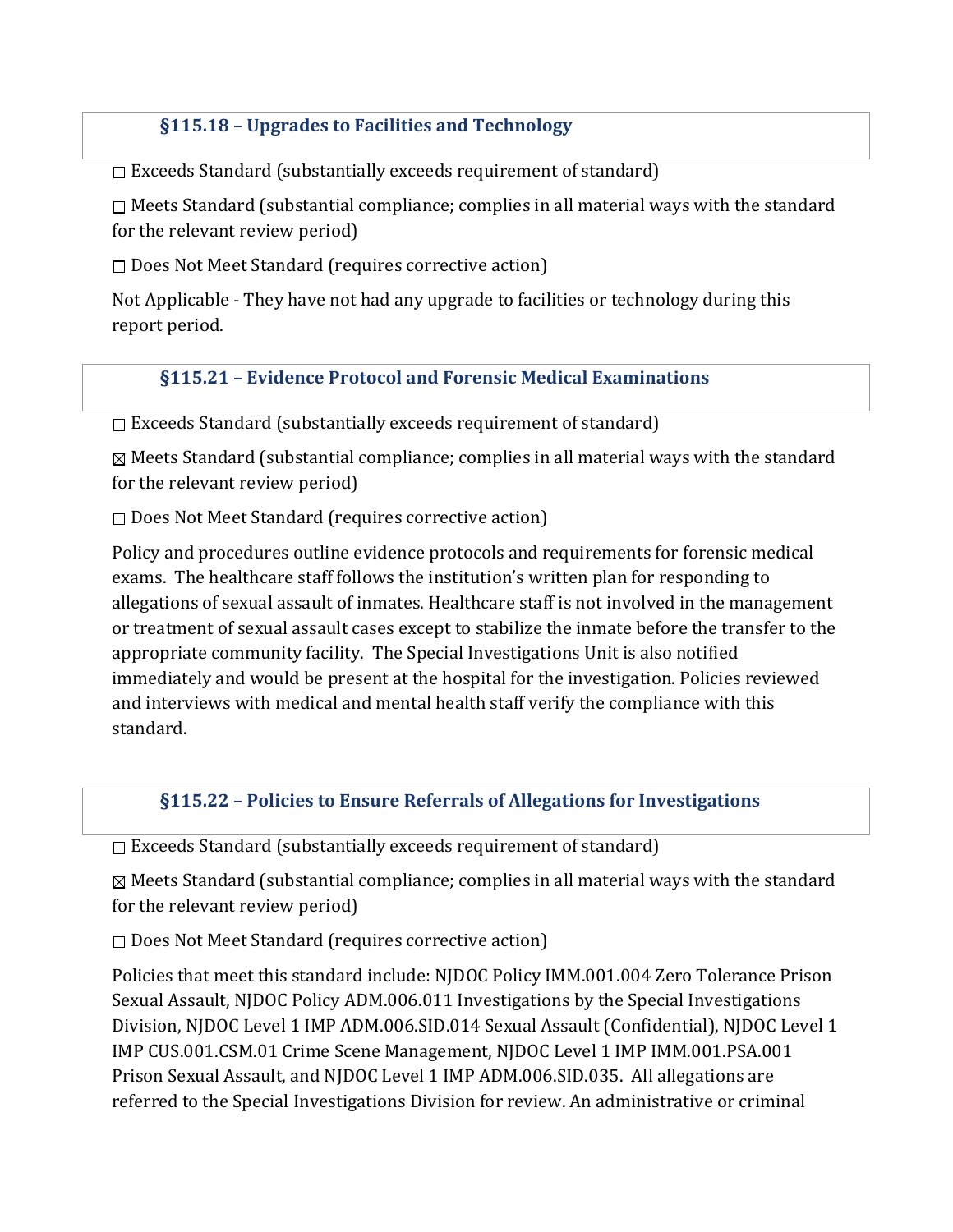## §115.18 – Upgrades to Facilities and Technology

 $\square$  Exceeds Standard (substantially exceeds requirement of standard)

 $\Box$  Meets Standard (substantial compliance; complies in all material ways with the standard for the relevant review period)

 $\square$  Does Not Meet Standard (requires corrective action)

Not Applicable - They have not had any upgrade to facilities or technology during this report period.

#### §115.21 – Evidence Protocol and Forensic Medical Examinations

 $\square$  Exceeds Standard (substantially exceeds requirement of standard)

 $\boxtimes$  Meets Standard (substantial compliance; complies in all material ways with the standard for the relevant review period)

 $\square$  Does Not Meet Standard (requires corrective action)

Policy and procedures outline evidence protocols and requirements for forensic medical exams. The healthcare staff follows the institution's written plan for responding to allegations of sexual assault of inmates. Healthcare staff is not involved in the management or treatment of sexual assault cases except to stabilize the inmate before the transfer to the appropriate community facility. The Special Investigations Unit is also notified immediately and would be present at the hospital for the investigation. Policies reviewed and interviews with medical and mental health staff verify the compliance with this standard.

#### §115.22 – Policies to Ensure Referrals of Allegations for Investigations

 $\square$  Exceeds Standard (substantially exceeds requirement of standard)

 $\boxtimes$  Meets Standard (substantial compliance; complies in all material ways with the standard for the relevant review period)

 $\square$  Does Not Meet Standard (requires corrective action)

Policies that meet this standard include: NJDOC Policy IMM.001.004 Zero Tolerance Prison Sexual Assault, NJDOC Policy ADM.006.011 Investigations by the Special Investigations Division, NJDOC Level 1 IMP ADM.006.SID.014 Sexual Assault (Confidential), NJDOC Level 1 IMP CUS.001.CSM.01 Crime Scene Management, NJDOC Level 1 IMP IMM.001.PSA.001 Prison Sexual Assault, and NJDOC Level 1 IMP ADM.006.SID.035. All allegations are referred to the Special Investigations Division for review. An administrative or criminal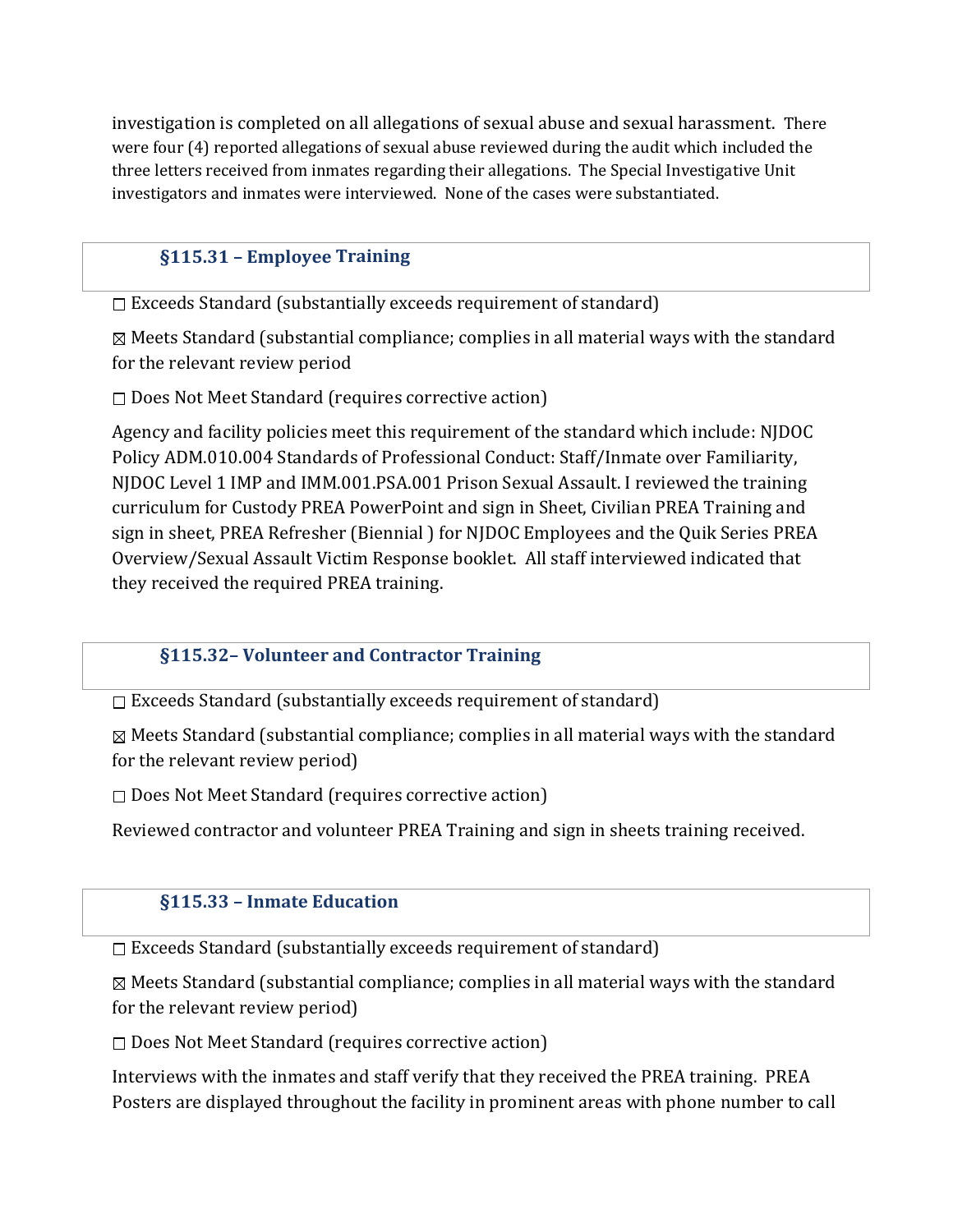investigation is completed on all allegations of sexual abuse and sexual harassment. There were four (4) reported allegations of sexual abuse reviewed during the audit which included the three letters received from inmates regarding their allegations. The Special Investigative Unit investigators and inmates were interviewed. None of the cases were substantiated.

# §115.31 – Employee Training

 $\Box$  Exceeds Standard (substantially exceeds requirement of standard)

 $\boxtimes$  Meets Standard (substantial compliance; complies in all material ways with the standard for the relevant review period

 $\square$  Does Not Meet Standard (requires corrective action)

Agency and facility policies meet this requirement of the standard which include: NJDOC Policy ADM.010.004 Standards of Professional Conduct: Staff/Inmate over Familiarity, NJDOC Level 1 IMP and IMM.001.PSA.001 Prison Sexual Assault. I reviewed the training curriculum for Custody PREA PowerPoint and sign in Sheet, Civilian PREA Training and sign in sheet, PREA Refresher (Biennial ) for NJDOC Employees and the Quik Series PREA Overview/Sexual Assault Victim Response booklet. All staff interviewed indicated that they received the required PREA training.

# §115.32– Volunteer and Contractor Training

 $\square$  Exceeds Standard (substantially exceeds requirement of standard)

 $\boxtimes$  Meets Standard (substantial compliance; complies in all material ways with the standard for the relevant review period)

 $\square$  Does Not Meet Standard (requires corrective action)

Reviewed contractor and volunteer PREA Training and sign in sheets training received.

# §115.33 – Inmate Education

 $\square$  Exceeds Standard (substantially exceeds requirement of standard)

 $\boxtimes$  Meets Standard (substantial compliance; complies in all material ways with the standard for the relevant review period)

 $\square$  Does Not Meet Standard (requires corrective action)

Interviews with the inmates and staff verify that they received the PREA training. PREA Posters are displayed throughout the facility in prominent areas with phone number to call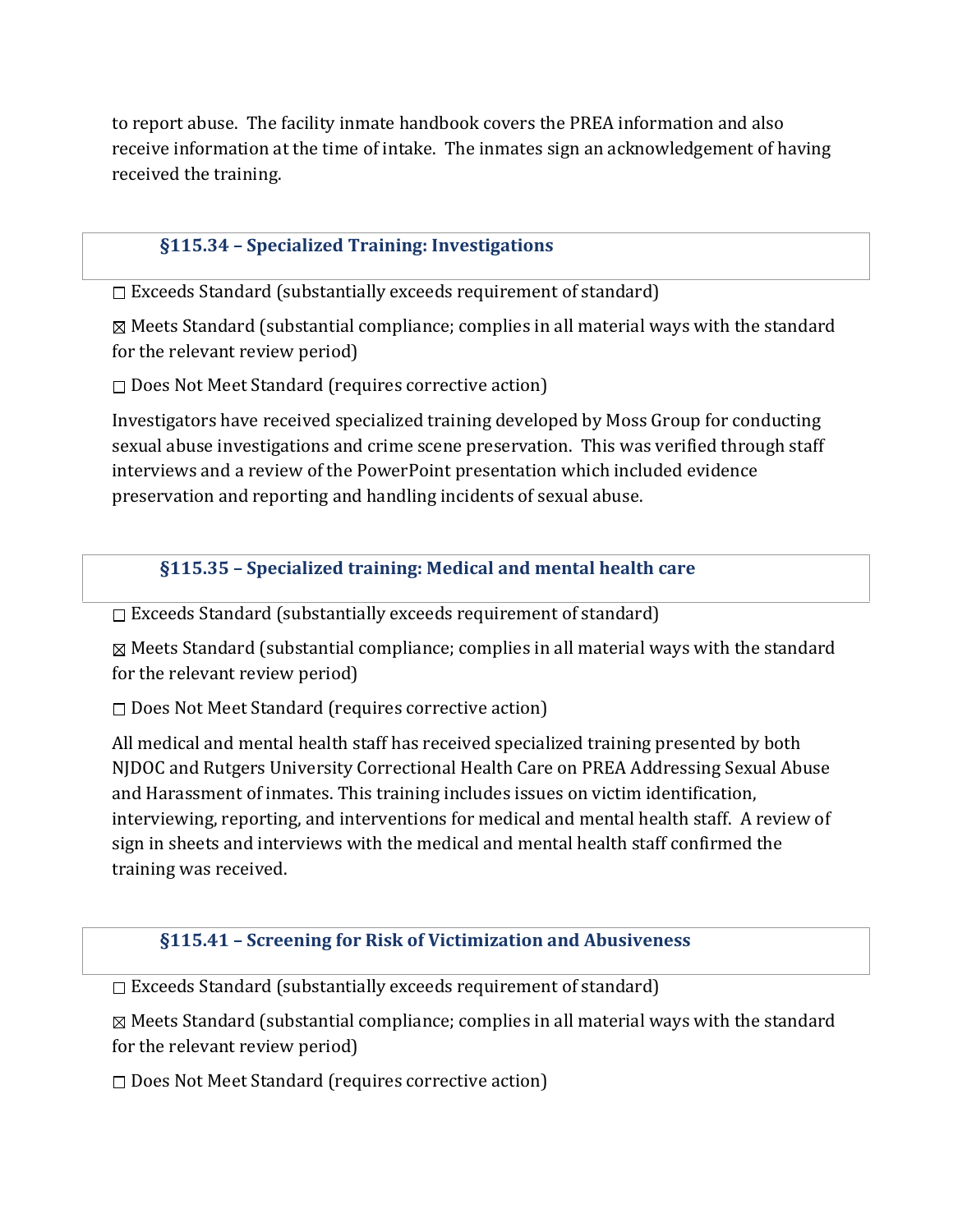to report abuse. The facility inmate handbook covers the PREA information and also receive information at the time of intake. The inmates sign an acknowledgement of having received the training.

## §115.34 – Specialized Training: Investigations

 $\Box$  Exceeds Standard (substantially exceeds requirement of standard)

 $\boxtimes$  Meets Standard (substantial compliance; complies in all material ways with the standard for the relevant review period)

 $\square$  Does Not Meet Standard (requires corrective action)

Investigators have received specialized training developed by Moss Group for conducting sexual abuse investigations and crime scene preservation. This was verified through staff interviews and a review of the PowerPoint presentation which included evidence preservation and reporting and handling incidents of sexual abuse.

§115.35 – Specialized training: Medical and mental health care

 $\Box$  Exceeds Standard (substantially exceeds requirement of standard)

 $\boxtimes$  Meets Standard (substantial compliance; complies in all material ways with the standard for the relevant review period)

 $\square$  Does Not Meet Standard (requires corrective action)

All medical and mental health staff has received specialized training presented by both NJDOC and Rutgers University Correctional Health Care on PREA Addressing Sexual Abuse and Harassment of inmates. This training includes issues on victim identification, interviewing, reporting, and interventions for medical and mental health staff. A review of sign in sheets and interviews with the medical and mental health staff confirmed the training was received.

#### §115.41 – Screening for Risk of Victimization and Abusiveness

 $\square$  Exceeds Standard (substantially exceeds requirement of standard)

 $\boxtimes$  Meets Standard (substantial compliance; complies in all material ways with the standard for the relevant review period)

 $\square$  Does Not Meet Standard (requires corrective action)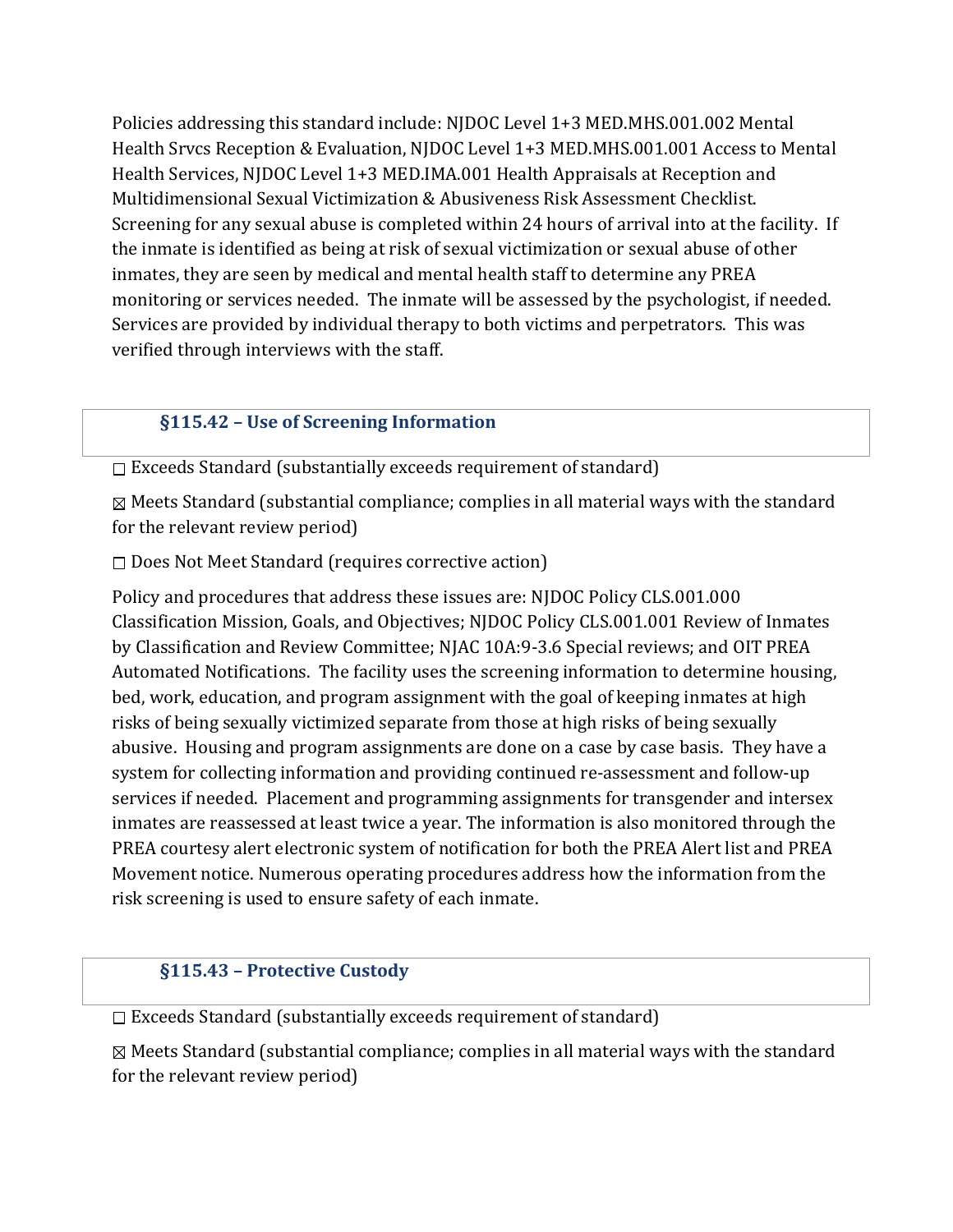Policies addressing this standard include: NJDOC Level 1+3 MED.MHS.001.002 Mental Health Srvcs Reception & Evaluation, NJDOC Level 1+3 MED.MHS.001.001 Access to Mental Health Services, NJDOC Level 1+3 MED.IMA.001 Health Appraisals at Reception and Multidimensional Sexual Victimization & Abusiveness Risk Assessment Checklist. Screening for any sexual abuse is completed within 24 hours of arrival into at the facility. If the inmate is identified as being at risk of sexual victimization or sexual abuse of other inmates, they are seen by medical and mental health staff to determine any PREA monitoring or services needed. The inmate will be assessed by the psychologist, if needed. Services are provided by individual therapy to both victims and perpetrators. This was verified through interviews with the staff.

#### §115.42 – Use of Screening Information

 $\Box$  Exceeds Standard (substantially exceeds requirement of standard)

 $\boxtimes$  Meets Standard (substantial compliance; complies in all material ways with the standard for the relevant review period)

 $\square$  Does Not Meet Standard (requires corrective action)

Policy and procedures that address these issues are: NJDOC Policy CLS.001.000 Classification Mission, Goals, and Objectives; NJDOC Policy CLS.001.001 Review of Inmates by Classification and Review Committee; NJAC 10A:9-3.6 Special reviews; and OIT PREA Automated Notifications. The facility uses the screening information to determine housing, bed, work, education, and program assignment with the goal of keeping inmates at high risks of being sexually victimized separate from those at high risks of being sexually abusive. Housing and program assignments are done on a case by case basis. They have a system for collecting information and providing continued re-assessment and follow-up services if needed. Placement and programming assignments for transgender and intersex inmates are reassessed at least twice a year. The information is also monitored through the PREA courtesy alert electronic system of notification for both the PREA Alert list and PREA Movement notice. Numerous operating procedures address how the information from the risk screening is used to ensure safety of each inmate.

#### §115.43 – Protective Custody

 $\Box$  Exceeds Standard (substantially exceeds requirement of standard)

 $\boxtimes$  Meets Standard (substantial compliance; complies in all material ways with the standard for the relevant review period)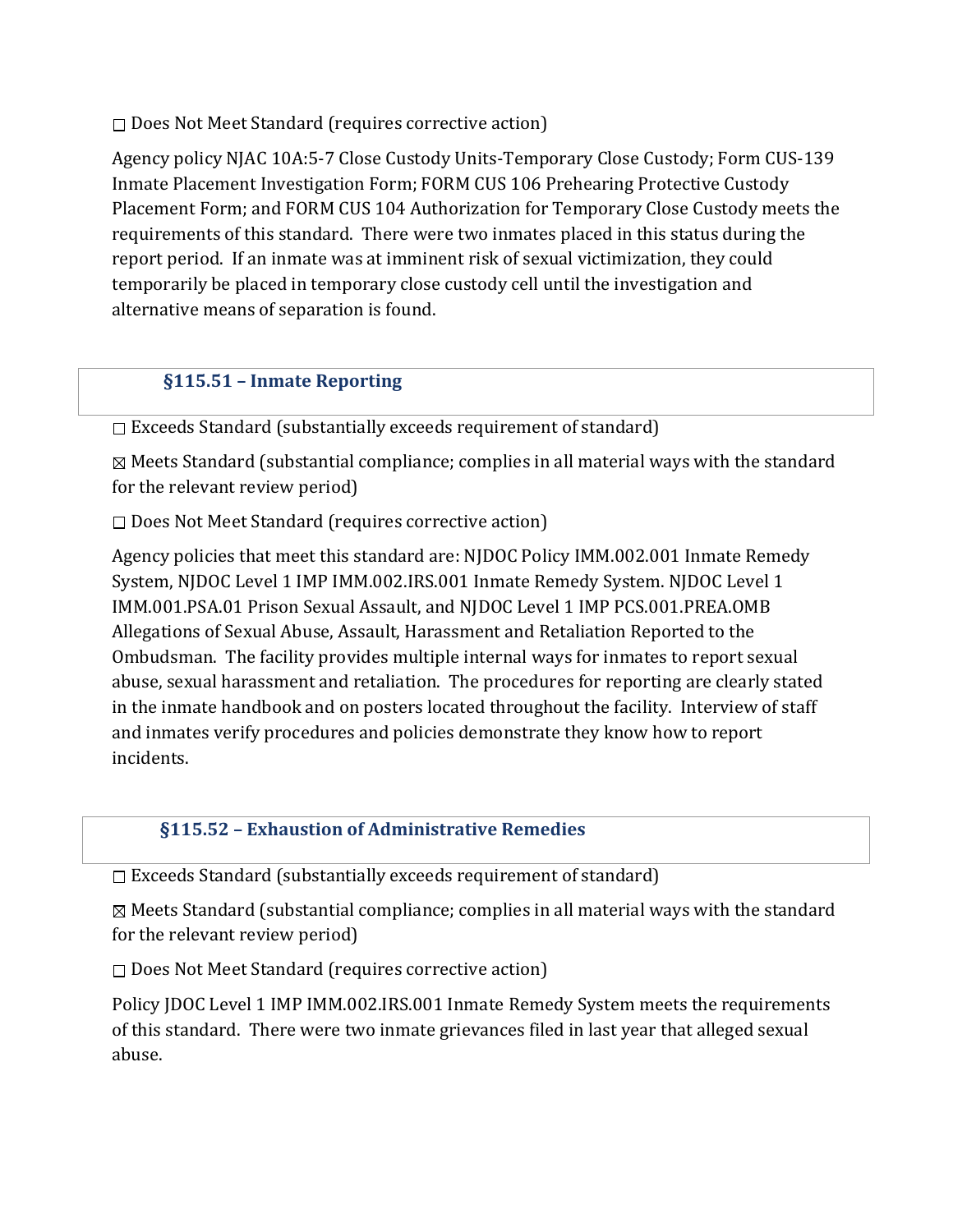$\square$  Does Not Meet Standard (requires corrective action)

Agency policy NJAC 10A:5-7 Close Custody Units-Temporary Close Custody; Form CUS-139 Inmate Placement Investigation Form; FORM CUS 106 Prehearing Protective Custody Placement Form; and FORM CUS 104 Authorization for Temporary Close Custody meets the requirements of this standard. There were two inmates placed in this status during the report period. If an inmate was at imminent risk of sexual victimization, they could temporarily be placed in temporary close custody cell until the investigation and alternative means of separation is found.

## §115.51 – Inmate Reporting

 $\Box$  Exceeds Standard (substantially exceeds requirement of standard)

 $\boxtimes$  Meets Standard (substantial compliance; complies in all material ways with the standard for the relevant review period)

 $\square$  Does Not Meet Standard (requires corrective action)

Agency policies that meet this standard are: NJDOC Policy IMM.002.001 Inmate Remedy System, NJDOC Level 1 IMP IMM.002.IRS.001 Inmate Remedy System. NJDOC Level 1 IMM.001.PSA.01 Prison Sexual Assault, and NJDOC Level 1 IMP PCS.001.PREA.OMB Allegations of Sexual Abuse, Assault, Harassment and Retaliation Reported to the Ombudsman. The facility provides multiple internal ways for inmates to report sexual abuse, sexual harassment and retaliation. The procedures for reporting are clearly stated in the inmate handbook and on posters located throughout the facility. Interview of staff and inmates verify procedures and policies demonstrate they know how to report incidents.

#### §115.52 – Exhaustion of Administrative Remedies

Exceeds Standard (substantially exceeds requirement of standard)

 $\boxtimes$  Meets Standard (substantial compliance; complies in all material ways with the standard for the relevant review period)

 $\square$  Does Not Meet Standard (requires corrective action)

Policy JDOC Level 1 IMP IMM.002.IRS.001 Inmate Remedy System meets the requirements of this standard. There were two inmate grievances filed in last year that alleged sexual abuse.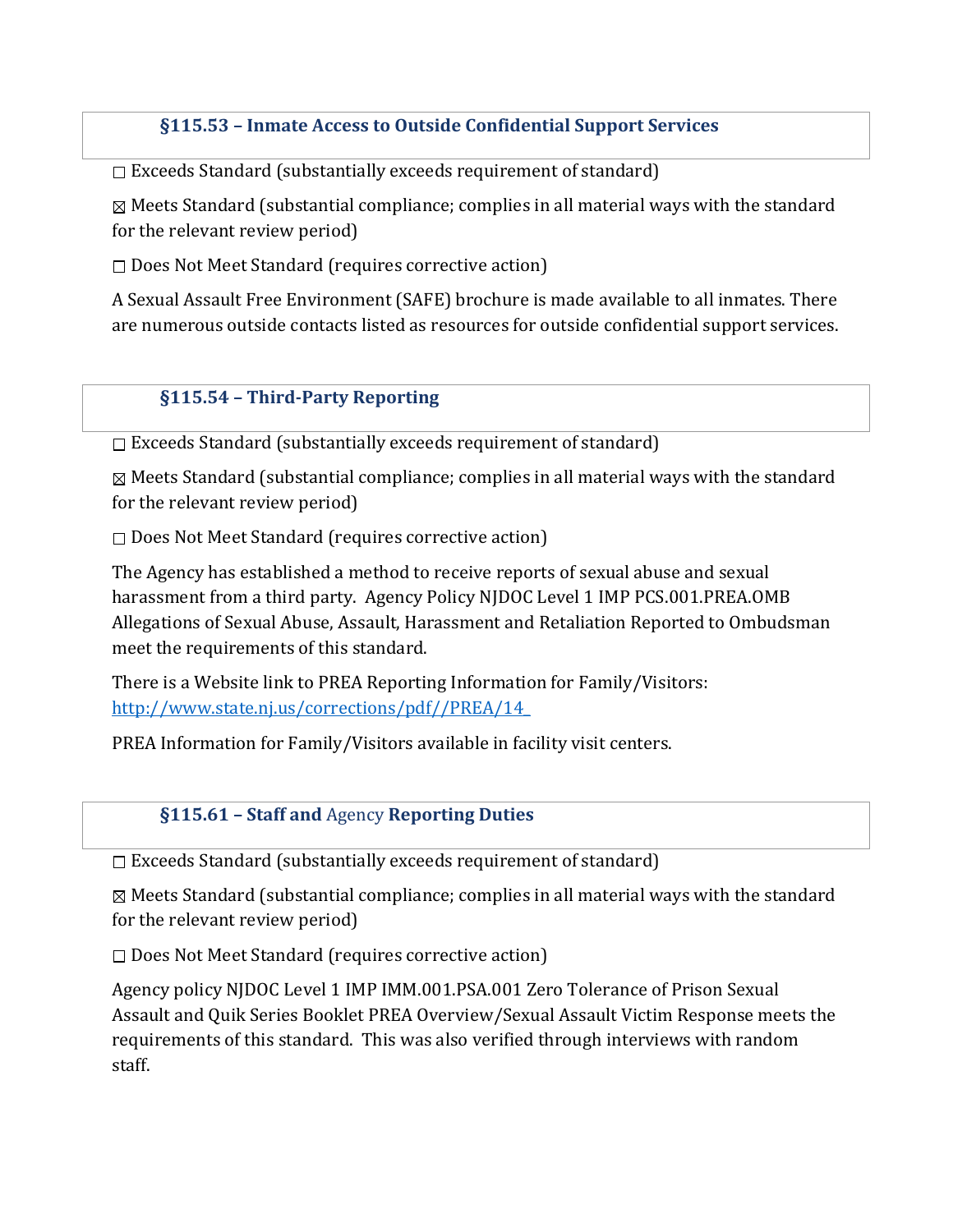#### §115.53 – Inmate Access to Outside Confidential Support Services

 $\square$  Exceeds Standard (substantially exceeds requirement of standard)

 $\boxtimes$  Meets Standard (substantial compliance; complies in all material ways with the standard for the relevant review period)

 $\square$  Does Not Meet Standard (requires corrective action)

A Sexual Assault Free Environment (SAFE) brochure is made available to all inmates. There are numerous outside contacts listed as resources for outside confidential support services.

#### §115.54 – Third-Party Reporting

Exceeds Standard (substantially exceeds requirement of standard)

 $\boxtimes$  Meets Standard (substantial compliance; complies in all material ways with the standard for the relevant review period)

 $\square$  Does Not Meet Standard (requires corrective action)

The Agency has established a method to receive reports of sexual abuse and sexual harassment from a third party. Agency Policy NJDOC Level 1 IMP PCS.001.PREA.OMB Allegations of Sexual Abuse, Assault, Harassment and Retaliation Reported to Ombudsman meet the requirements of this standard.

There is a Website link to PREA Reporting Information for Family/Visitors: http://www.state.nj.us/corrections/pdf//PREA/14\_

PREA Information for Family/Visitors available in facility visit centers.

#### §115.61 – Staff and Agency Reporting Duties

 $\Box$  Exceeds Standard (substantially exceeds requirement of standard)

 $\boxtimes$  Meets Standard (substantial compliance; complies in all material ways with the standard for the relevant review period)

 $\square$  Does Not Meet Standard (requires corrective action)

Agency policy NJDOC Level 1 IMP IMM.001.PSA.001 Zero Tolerance of Prison Sexual Assault and Quik Series Booklet PREA Overview/Sexual Assault Victim Response meets the requirements of this standard. This was also verified through interviews with random staff.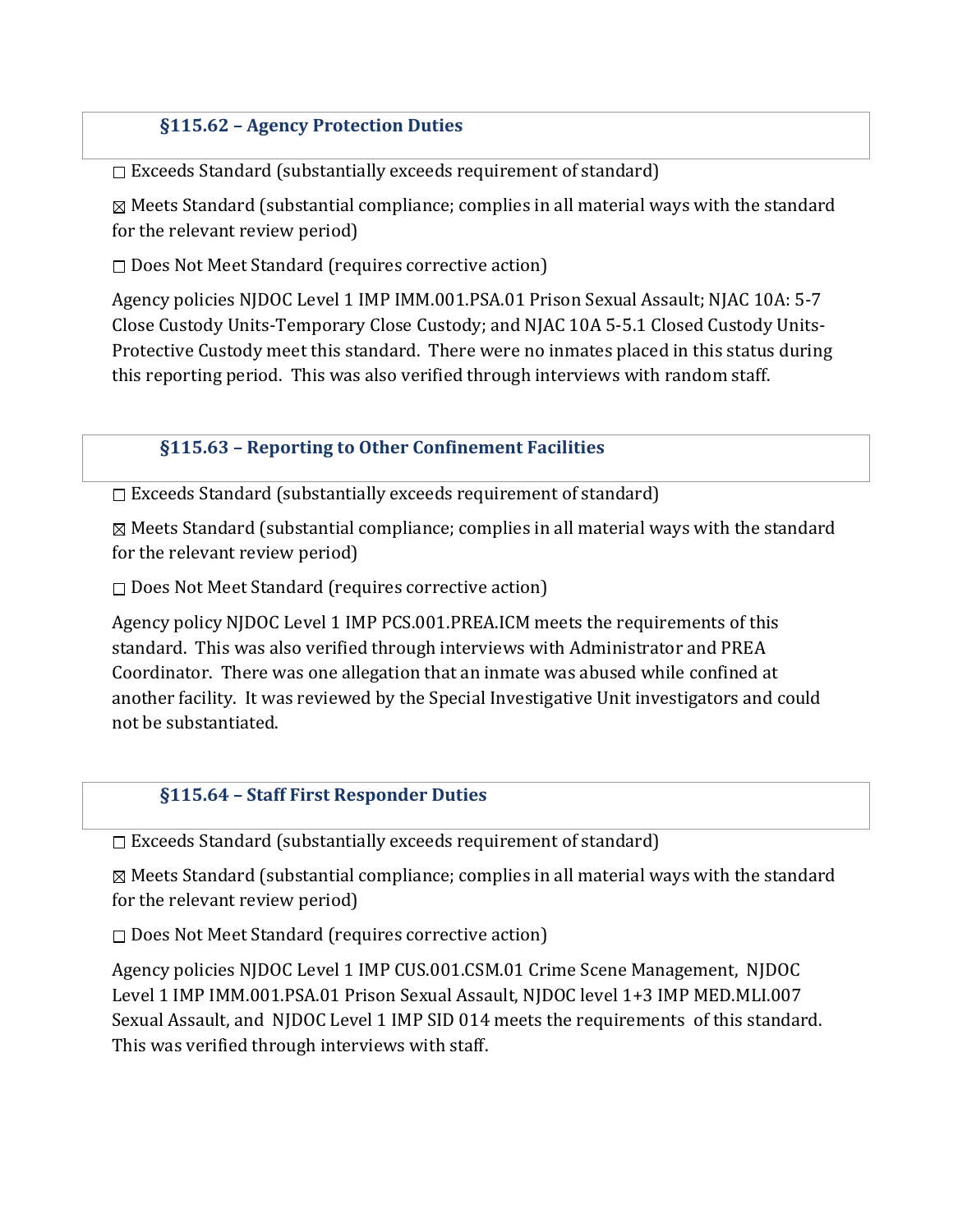## §115.62 – Agency Protection Duties

 $\Box$  Exceeds Standard (substantially exceeds requirement of standard)

 $\boxtimes$  Meets Standard (substantial compliance; complies in all material ways with the standard for the relevant review period)

 $\square$  Does Not Meet Standard (requires corrective action)

Agency policies NJDOC Level 1 IMP IMM.001.PSA.01 Prison Sexual Assault; NJAC 10A: 5-7 Close Custody Units-Temporary Close Custody; and NJAC 10A 5-5.1 Closed Custody Units-Protective Custody meet this standard. There were no inmates placed in this status during this reporting period. This was also verified through interviews with random staff.

#### §115.63 – Reporting to Other Confinement Facilities

 $\square$  Exceeds Standard (substantially exceeds requirement of standard)

 $\boxtimes$  Meets Standard (substantial compliance; complies in all material ways with the standard for the relevant review period)

 $\square$  Does Not Meet Standard (requires corrective action)

Agency policy NJDOC Level 1 IMP PCS.001.PREA.ICM meets the requirements of this standard. This was also verified through interviews with Administrator and PREA Coordinator. There was one allegation that an inmate was abused while confined at another facility. It was reviewed by the Special Investigative Unit investigators and could not be substantiated.

#### §115.64 – Staff First Responder Duties

 $\Box$  Exceeds Standard (substantially exceeds requirement of standard)

 $\boxtimes$  Meets Standard (substantial compliance; complies in all material ways with the standard for the relevant review period)

 $\square$  Does Not Meet Standard (requires corrective action)

Agency policies NJDOC Level 1 IMP CUS.001.CSM.01 Crime Scene Management, NJDOC Level 1 IMP IMM.001.PSA.01 Prison Sexual Assault, NJDOC level 1+3 IMP MED.MLI.007 Sexual Assault, and NJDOC Level 1 IMP SID 014 meets the requirements of this standard. This was verified through interviews with staff.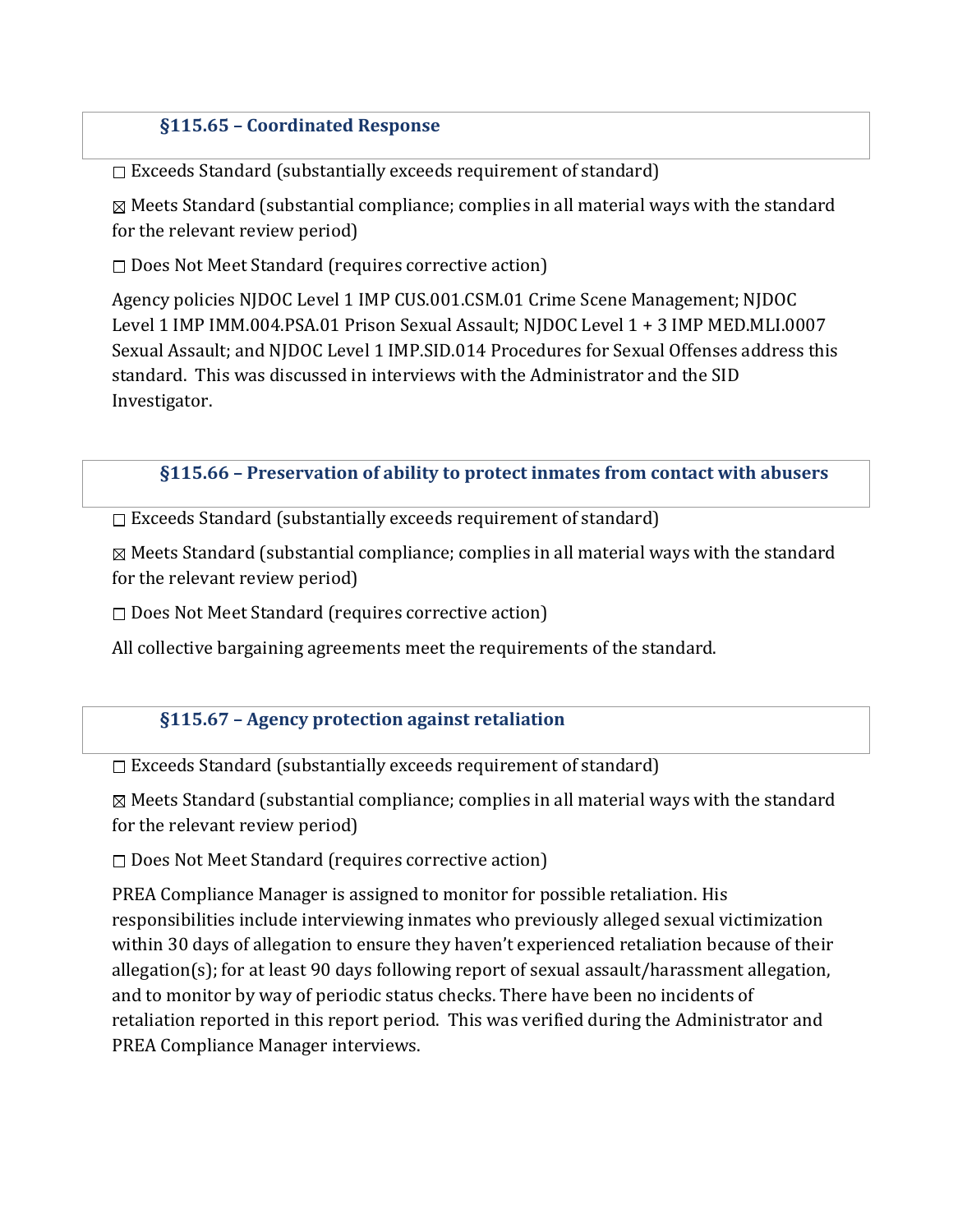## §115.65 – Coordinated Response

 $\Box$  Exceeds Standard (substantially exceeds requirement of standard)

 $\boxtimes$  Meets Standard (substantial compliance; complies in all material ways with the standard for the relevant review period)

 $\square$  Does Not Meet Standard (requires corrective action)

Agency policies NJDOC Level 1 IMP CUS.001.CSM.01 Crime Scene Management; NJDOC Level 1 IMP IMM.004.PSA.01 Prison Sexual Assault; NJDOC Level 1 + 3 IMP MED.MLI.0007 Sexual Assault; and NJDOC Level 1 IMP.SID.014 Procedures for Sexual Offenses address this standard. This was discussed in interviews with the Administrator and the SID Investigator.

#### §115.66 – Preservation of ability to protect inmates from contact with abusers

 $\square$  Exceeds Standard (substantially exceeds requirement of standard)

 $\boxtimes$  Meets Standard (substantial compliance; complies in all material ways with the standard for the relevant review period)

 $\square$  Does Not Meet Standard (requires corrective action)

All collective bargaining agreements meet the requirements of the standard.

#### §115.67 – Agency protection against retaliation

 $\Box$  Exceeds Standard (substantially exceeds requirement of standard)

 $\boxtimes$  Meets Standard (substantial compliance; complies in all material ways with the standard for the relevant review period)

 $\square$  Does Not Meet Standard (requires corrective action)

PREA Compliance Manager is assigned to monitor for possible retaliation. His responsibilities include interviewing inmates who previously alleged sexual victimization within 30 days of allegation to ensure they haven't experienced retaliation because of their allegation(s); for at least 90 days following report of sexual assault/harassment allegation, and to monitor by way of periodic status checks. There have been no incidents of retaliation reported in this report period. This was verified during the Administrator and PREA Compliance Manager interviews.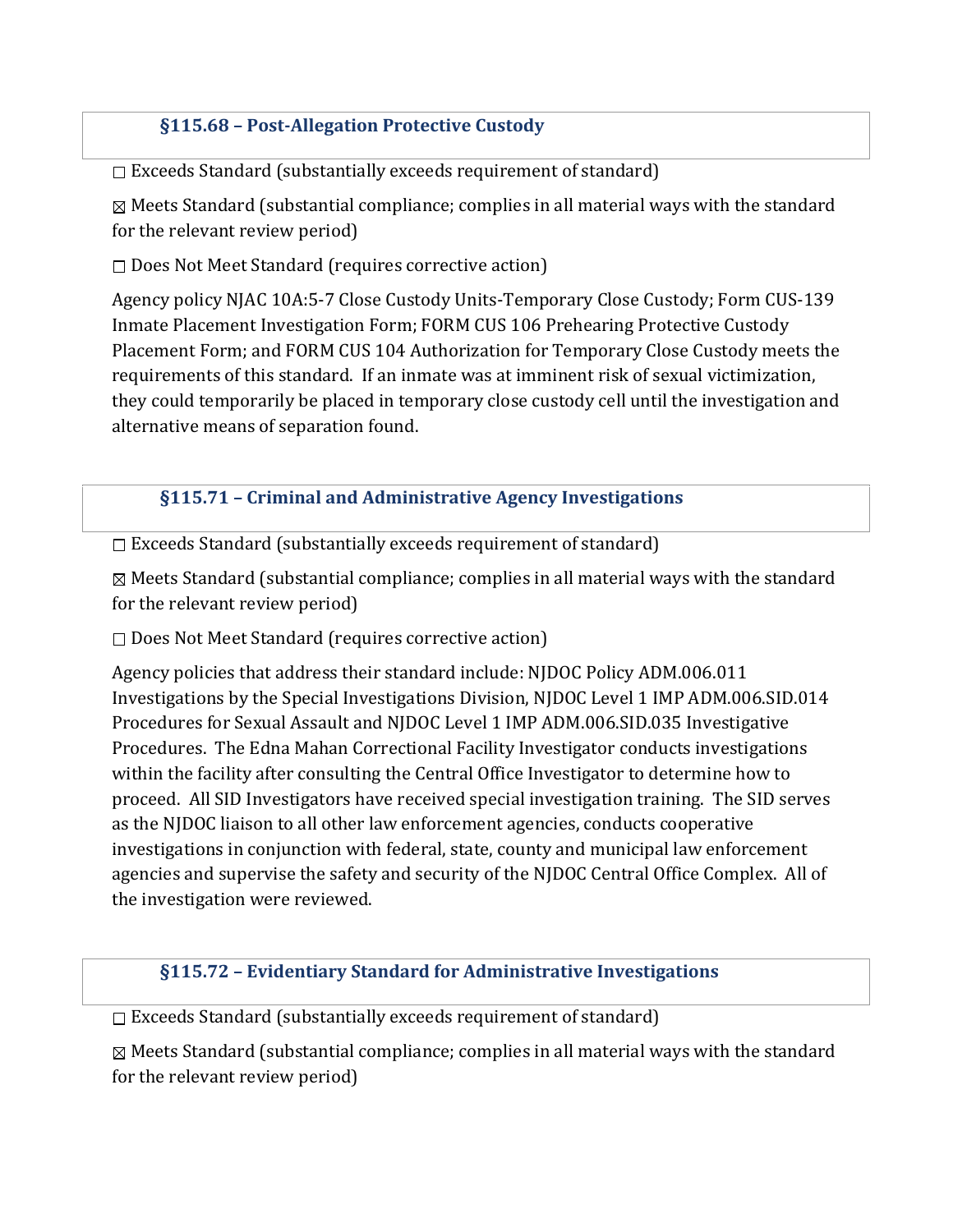## §115.68 – Post-Allegation Protective Custody

 $\square$  Exceeds Standard (substantially exceeds requirement of standard)

 $\boxtimes$  Meets Standard (substantial compliance; complies in all material ways with the standard for the relevant review period)

 $\square$  Does Not Meet Standard (requires corrective action)

Agency policy NJAC 10A:5-7 Close Custody Units-Temporary Close Custody; Form CUS-139 Inmate Placement Investigation Form; FORM CUS 106 Prehearing Protective Custody Placement Form; and FORM CUS 104 Authorization for Temporary Close Custody meets the requirements of this standard. If an inmate was at imminent risk of sexual victimization, they could temporarily be placed in temporary close custody cell until the investigation and alternative means of separation found.

§115.71 – Criminal and Administrative Agency Investigations

 $\square$  Exceeds Standard (substantially exceeds requirement of standard)

 Meets Standard (substantial compliance; complies in all material ways with the standard for the relevant review period)

 $\square$  Does Not Meet Standard (requires corrective action)

Agency policies that address their standard include: NJDOC Policy ADM.006.011 Investigations by the Special Investigations Division, NJDOC Level 1 IMP ADM.006.SID.014 Procedures for Sexual Assault and NJDOC Level 1 IMP ADM.006.SID.035 Investigative Procedures. The Edna Mahan Correctional Facility Investigator conducts investigations within the facility after consulting the Central Office Investigator to determine how to proceed. All SID Investigators have received special investigation training. The SID serves as the NJDOC liaison to all other law enforcement agencies, conducts cooperative investigations in conjunction with federal, state, county and municipal law enforcement agencies and supervise the safety and security of the NJDOC Central Office Complex. All of the investigation were reviewed.

#### §115.72 – Evidentiary Standard for Administrative Investigations

 $\square$  Exceeds Standard (substantially exceeds requirement of standard)

 $\boxtimes$  Meets Standard (substantial compliance; complies in all material ways with the standard for the relevant review period)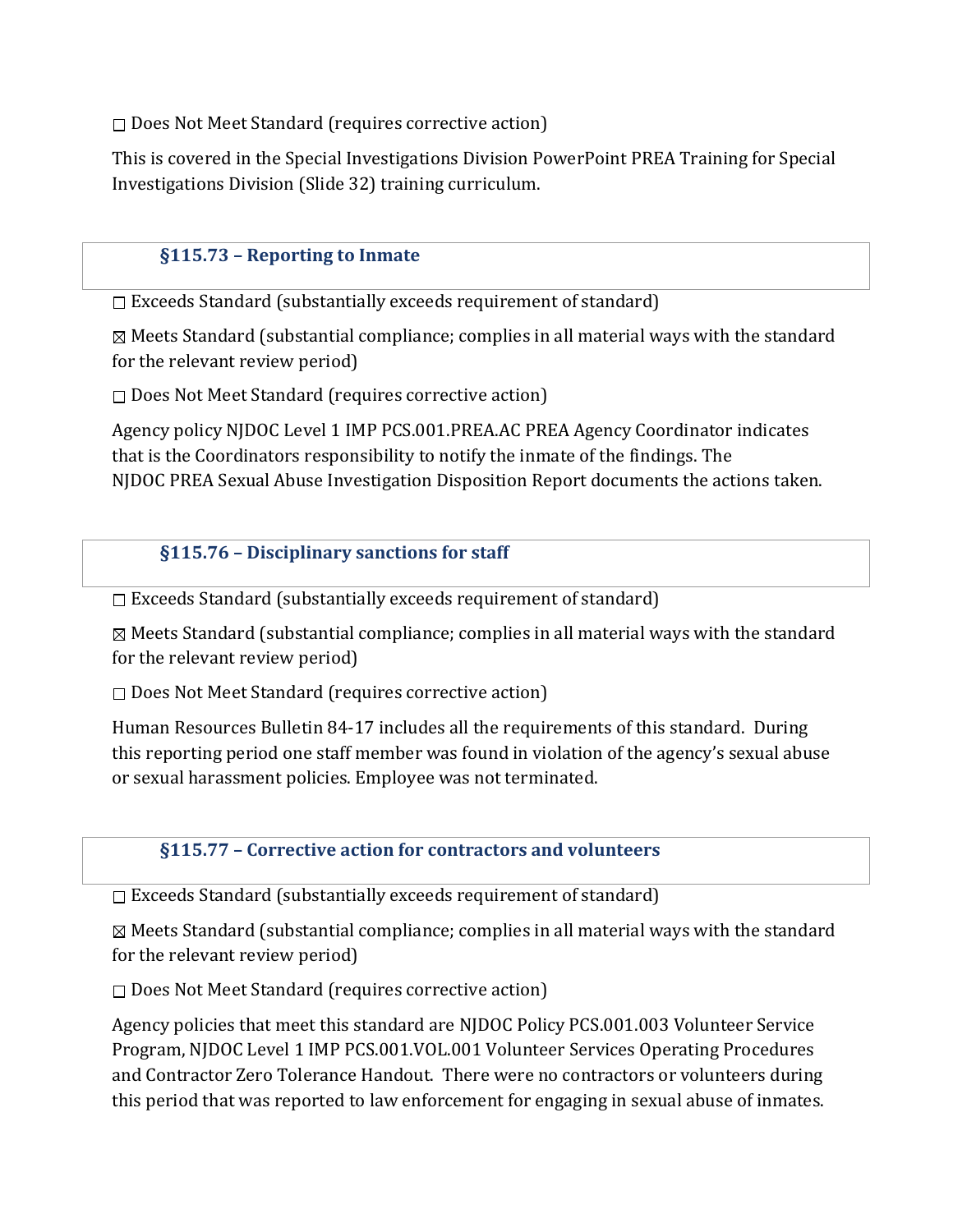$\square$  Does Not Meet Standard (requires corrective action)

This is covered in the Special Investigations Division PowerPoint PREA Training for Special Investigations Division (Slide 32) training curriculum.

## §115.73 – Reporting to Inmate

 $\Box$  Exceeds Standard (substantially exceeds requirement of standard)

 $\boxtimes$  Meets Standard (substantial compliance; complies in all material ways with the standard for the relevant review period)

 $\square$  Does Not Meet Standard (requires corrective action)

Agency policy NJDOC Level 1 IMP PCS.001.PREA.AC PREA Agency Coordinator indicates that is the Coordinators responsibility to notify the inmate of the findings. The NJDOC PREA Sexual Abuse Investigation Disposition Report documents the actions taken.

#### §115.76 – Disciplinary sanctions for staff

 $\Box$  Exceeds Standard (substantially exceeds requirement of standard)

 $\boxtimes$  Meets Standard (substantial compliance; complies in all material ways with the standard for the relevant review period)

 $\square$  Does Not Meet Standard (requires corrective action)

Human Resources Bulletin 84-17 includes all the requirements of this standard. During this reporting period one staff member was found in violation of the agency's sexual abuse or sexual harassment policies. Employee was not terminated.

#### §115.77 – Corrective action for contractors and volunteers

 $\square$  Exceeds Standard (substantially exceeds requirement of standard)

 $\boxtimes$  Meets Standard (substantial compliance; complies in all material ways with the standard for the relevant review period)

 $\square$  Does Not Meet Standard (requires corrective action)

Agency policies that meet this standard are NJDOC Policy PCS.001.003 Volunteer Service Program, NJDOC Level 1 IMP PCS.001.VOL.001 Volunteer Services Operating Procedures and Contractor Zero Tolerance Handout. There were no contractors or volunteers during this period that was reported to law enforcement for engaging in sexual abuse of inmates.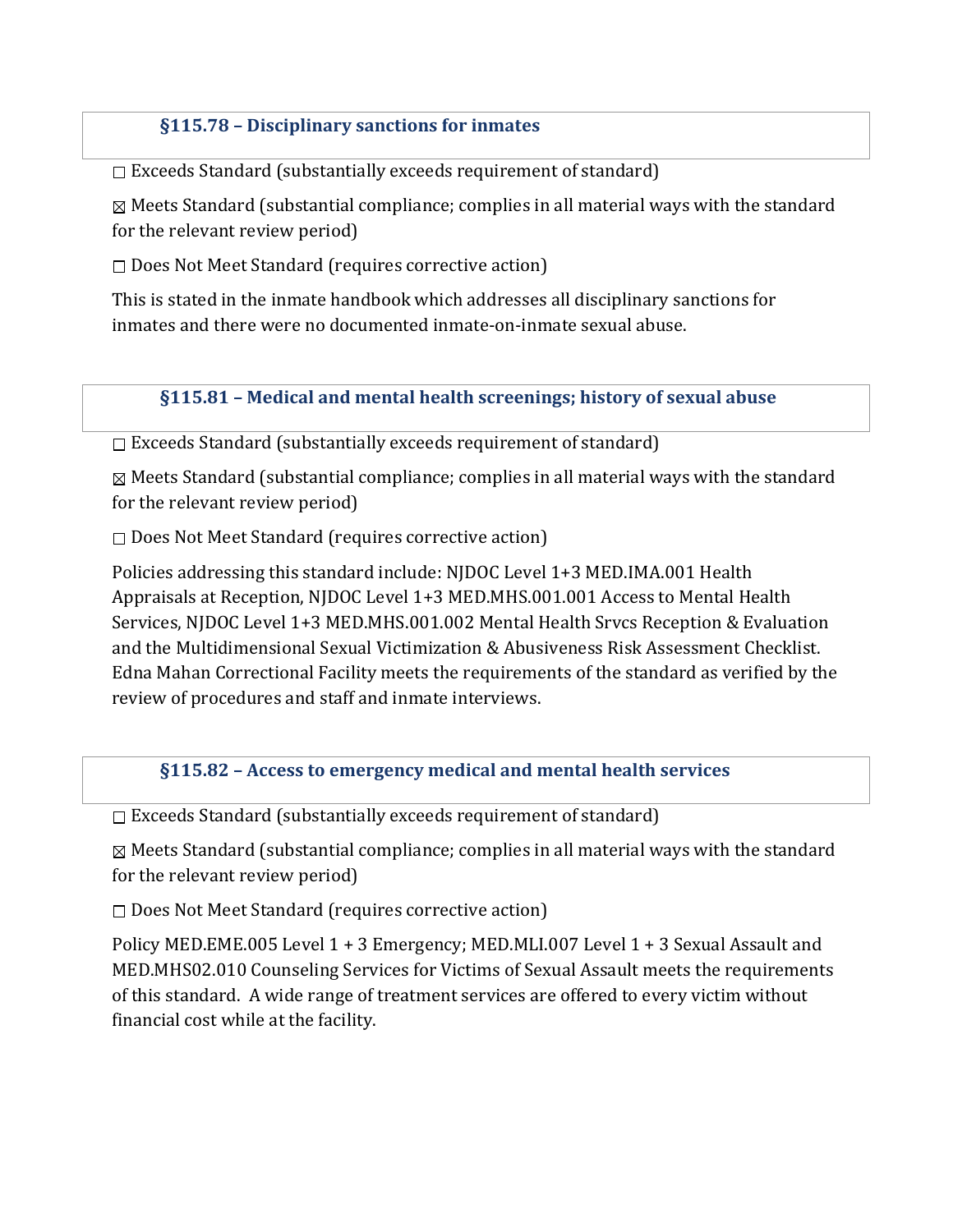## §115.78 – Disciplinary sanctions for inmates

 $\square$  Exceeds Standard (substantially exceeds requirement of standard)

 $\boxtimes$  Meets Standard (substantial compliance; complies in all material ways with the standard for the relevant review period)

 $\square$  Does Not Meet Standard (requires corrective action)

This is stated in the inmate handbook which addresses all disciplinary sanctions for inmates and there were no documented inmate-on-inmate sexual abuse.

#### §115.81 – Medical and mental health screenings; history of sexual abuse

 $\square$  Exceeds Standard (substantially exceeds requirement of standard)

 $\boxtimes$  Meets Standard (substantial compliance; complies in all material ways with the standard for the relevant review period)

 $\square$  Does Not Meet Standard (requires corrective action)

Policies addressing this standard include: NJDOC Level 1+3 MED.IMA.001 Health Appraisals at Reception, NJDOC Level 1+3 MED.MHS.001.001 Access to Mental Health Services, NJDOC Level 1+3 MED.MHS.001.002 Mental Health Srvcs Reception & Evaluation and the Multidimensional Sexual Victimization & Abusiveness Risk Assessment Checklist. Edna Mahan Correctional Facility meets the requirements of the standard as verified by the review of procedures and staff and inmate interviews.

§115.82 – Access to emergency medical and mental health services

 $\Box$  Exceeds Standard (substantially exceeds requirement of standard)

 $\boxtimes$  Meets Standard (substantial compliance; complies in all material ways with the standard for the relevant review period)

 $\square$  Does Not Meet Standard (requires corrective action)

Policy MED.EME.005 Level 1 + 3 Emergency; MED.MLI.007 Level 1 + 3 Sexual Assault and MED.MHS02.010 Counseling Services for Victims of Sexual Assault meets the requirements of this standard. A wide range of treatment services are offered to every victim without financial cost while at the facility.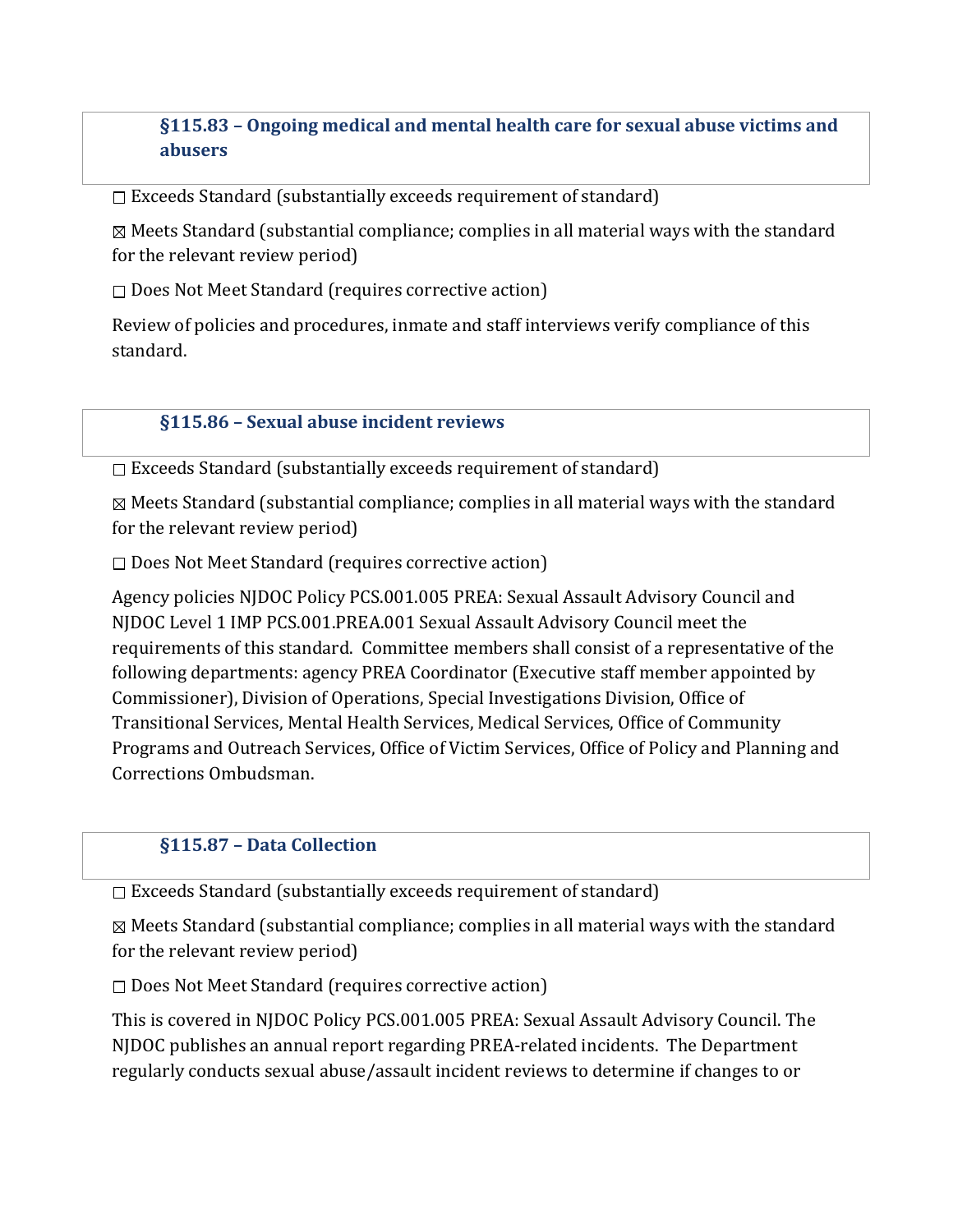## §115.83 – Ongoing medical and mental health care for sexual abuse victims and abusers

 $\Box$  Exceeds Standard (substantially exceeds requirement of standard)

 $\boxtimes$  Meets Standard (substantial compliance; complies in all material ways with the standard for the relevant review period)

□ Does Not Meet Standard (requires corrective action)

Review of policies and procedures, inmate and staff interviews verify compliance of this standard.

#### §115.86 – Sexual abuse incident reviews

 $\square$  Exceeds Standard (substantially exceeds requirement of standard)

 $\boxtimes$  Meets Standard (substantial compliance; complies in all material ways with the standard for the relevant review period)

 $\square$  Does Not Meet Standard (requires corrective action)

Agency policies NJDOC Policy PCS.001.005 PREA: Sexual Assault Advisory Council and NJDOC Level 1 IMP PCS.001.PREA.001 Sexual Assault Advisory Council meet the requirements of this standard. Committee members shall consist of a representative of the following departments: agency PREA Coordinator (Executive staff member appointed by Commissioner), Division of Operations, Special Investigations Division, Office of Transitional Services, Mental Health Services, Medical Services, Office of Community Programs and Outreach Services, Office of Victim Services, Office of Policy and Planning and Corrections Ombudsman.

#### §115.87 – Data Collection

 $\Box$  Exceeds Standard (substantially exceeds requirement of standard)

 $\boxtimes$  Meets Standard (substantial compliance; complies in all material ways with the standard for the relevant review period)

 $\square$  Does Not Meet Standard (requires corrective action)

This is covered in NJDOC Policy PCS.001.005 PREA: Sexual Assault Advisory Council. The NJDOC publishes an annual report regarding PREA-related incidents. The Department regularly conducts sexual abuse/assault incident reviews to determine if changes to or